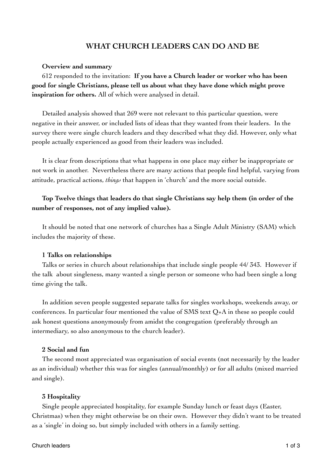# **WHAT CHURCH LEADERS CAN DO AND BE**

## **Overview and summary**

612 responded to the invitation: **If you have a Church leader or worker who has been good for single Christians, please tell us about what they have done which might prove inspiration for others.** All of which were analysed in detail.

Detailed analysis showed that 269 were not relevant to this particular question, were negative in their answer, or included lists of ideas that they wanted from their leaders. In the survey there were single church leaders and they described what they did. However, only what people actually experienced as good from their leaders was included.

It is clear from descriptions that what happens in one place may either be inappropriate or not work in another. Nevertheless there are many actions that people find helpful, varying from attitude, practical actions, *things* that happen in 'church' and the more social outside.

# **Top Twelve things that leaders do that single Christians say help them (in order of the number of responses, not of any implied value).**

It should be noted that one network of churches has a Single Adult Ministry (SAM) which includes the majority of these.

## **1 Talks on relationships**

Talks or series in church about relationships that include single people 44/ 343. However if the talk about singleness, many wanted a single person or someone who had been single a long time giving the talk.

In addition seven people suggested separate talks for singles workshops, weekends away, or conferences. In particular four mentioned the value of SMS text Q+A in these so people could ask honest questions anonymously from amidst the congregation (preferably through an intermediary, so also anonymous to the church leader).

## **2 Social and fun**

The second most appreciated was organisation of social events (not necessarily by the leader as an individual) whether this was for singles (annual/monthly) or for all adults (mixed married and single).

## **3 Hospitality**

Single people appreciated hospitality, for example Sunday lunch or feast days (Easter, Christmas) when they might otherwise be on their own. However they didn't want to be treated as a 'single' in doing so, but simply included with others in a family setting.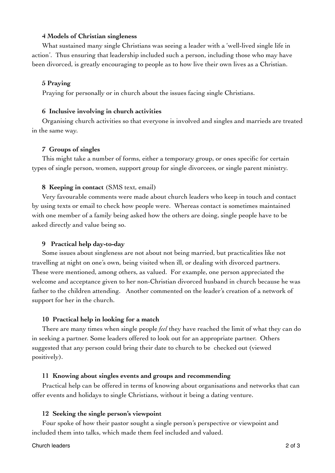# **4 Models of Christian singleness**

What sustained many single Christians was seeing a leader with a 'well-lived single life in action'. Thus ensuring that leadership included such a person, including those who may have been divorced, is greatly encouraging to people as to how live their own lives as a Christian.

# **5 Praying**

Praying for personally or in church about the issues facing single Christians.

## **6 Inclusive involving in church activities**

Organising church activities so that everyone is involved and singles and marrieds are treated in the same way.

## **7 Groups of singles**

This might take a number of forms, either a temporary group, or ones specific for certain types of single person, women, support group for single divorcees, or single parent ministry.

# **8 Keeping in contact** (SMS text, email)

Very favourable comments were made about church leaders who keep in touch and contact by using texts or email to check how people were. Whereas contact is sometimes maintained with one member of a family being asked how the others are doing, single people have to be asked directly and value being so.

## **9 Practical help day-to-day**

Some issues about singleness are not about not being married, but practicalities like not travelling at night on one's own, being visited when ill, or dealing with divorced partners. These were mentioned, among others, as valued. For example, one person appreciated the welcome and acceptance given to her non-Christian divorced husband in church because he was father to the children attending. Another commented on the leader's creation of a network of support for her in the church.

## **10 Practical help in looking for a match**

There are many times when single people *feel* they have reached the limit of what they can do in seeking a partner. Some leaders offered to look out for an appropriate partner. Others suggested that any person could bring their date to church to be checked out (viewed positively).

## **11 Knowing about singles events and groups and recommending**

Practical help can be offered in terms of knowing about organisations and networks that can offer events and holidays to single Christians, without it being a dating venture.

## **12 Seeking the single person's viewpoint**

Four spoke of how their pastor sought a single person's perspective or viewpoint and included them into talks, which made them feel included and valued.